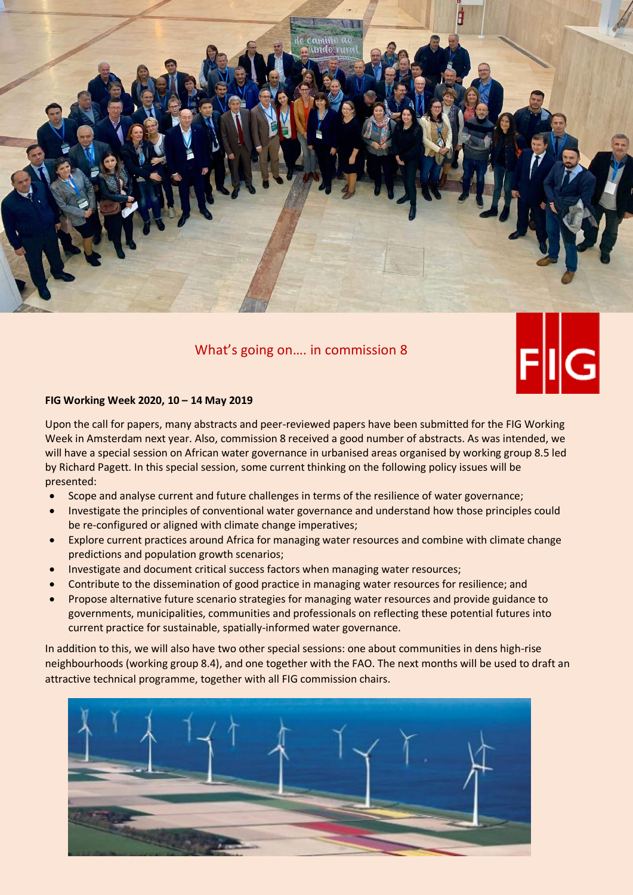

What's going on…. in commission 8



# **FIG Working Week 2020, 10 – 14 May 2019**

Upon the call for papers, many abstracts and peer-reviewed papers have been submitted for the FIG Working Week in Amsterdam next year. Also, commission 8 received a good number of abstracts. As was intended, we will have a special session on African water governance in urbanised areas organised by working group 8.5 led by Richard Pagett. In this special session, some current thinking on the following policy issues will be presented:

- Scope and analyse current and future challenges in terms of the resilience of water governance;
- Investigate the principles of conventional water governance and understand how those principles could be re-configured or aligned with climate change imperatives;
- Explore current practices around Africa for managing water resources and combine with climate change predictions and population growth scenarios;
- Investigate and document critical success factors when managing water resources;
- Contribute to the dissemination of good practice in managing water resources for resilience; and
- Propose alternative future scenario strategies for managing water resources and provide guidance to governments, municipalities, communities and professionals on reflecting these potential futures into current practice for sustainable, spatially-informed water governance.

In addition to this, we will also have two other special sessions: one about communities in dens high-rise neighbourhoods (working group 8.4), and one together with the FAO. The next months will be used to draft an attractive technical programme, together with all FIG commission chairs.

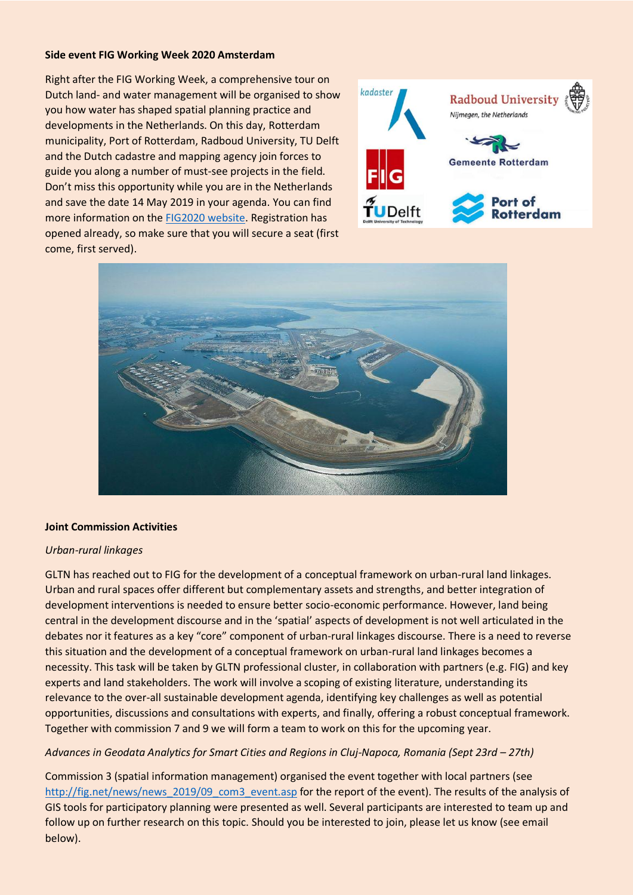### **Side event FIG Working Week 2020 Amsterdam**

Right after the FIG Working Week, a comprehensive tour on Dutch land- and water management will be organised to show you how water has shaped spatial planning practice and developments in the Netherlands. On this day, Rotterdam municipality, Port of Rotterdam, Radboud University, TU Delft and the Dutch cadastre and mapping agency join forces to guide you along a number of must-see projects in the field. Don't miss this opportunity while you are in the Netherlands and save the date 14 May 2019 in your agenda. You can find more information on the FIG2020 [website.](http://www.fig.net/fig2020/other_pre-post_events.htm) Registration has opened already, so make sure that you will secure a seat (first come, first served).





## **Joint Commission Activities**

#### *Urban-rural linkages*

GLTN has reached out to FIG for the development of a conceptual framework on urban-rural land linkages. Urban and rural spaces offer different but complementary assets and strengths, and better integration of development interventions is needed to ensure better socio-economic performance. However, land being central in the development discourse and in the 'spatial' aspects of development is not well articulated in the debates nor it features as a key "core" component of urban-rural linkages discourse. There is a need to reverse this situation and the development of a conceptual framework on urban-rural land linkages becomes a necessity. This task will be taken by GLTN professional cluster, in collaboration with partners (e.g. FIG) and key experts and land stakeholders. The work will involve a scoping of existing literature, understanding its relevance to the over-all sustainable development agenda, identifying key challenges as well as potential opportunities, discussions and consultations with experts, and finally, offering a robust conceptual framework. Together with commission 7 and 9 we will form a team to work on this for the upcoming year.

## Advances in Geodata Analytics for Smart Cities and Regions in Cluj-Napoca, Romania (Sept 23rd – 27th)

Commission 3 (spatial information management) organised the event together with local partners (see [http://fig.net/news/news\\_2019/09\\_com3\\_event.asp](http://fig.net/news/news_2019/09_com3_event.asp) for the report of the event). The results of the analysis of GIS tools for participatory planning were presented as well. Several participants are interested to team up and follow up on further research on this topic. Should you be interested to join, please let us know (see email below).